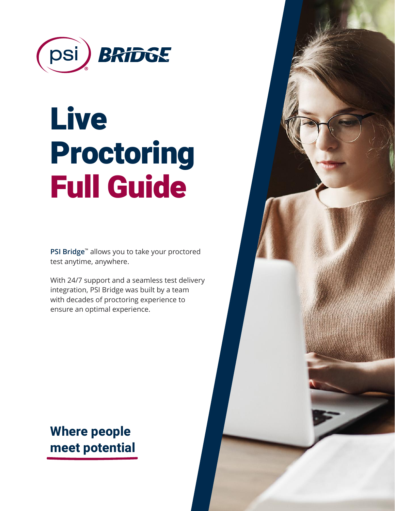

# Live Proctoring Full Guide

**PSI Bridge**™ allows you to take your proctored test anytime, anywhere.

With 24/7 support and a seamless test delivery integration, PSI Bridge was built by a team with decades of proctoring experience to ensure an optimal experience.

# **Where people meet potential**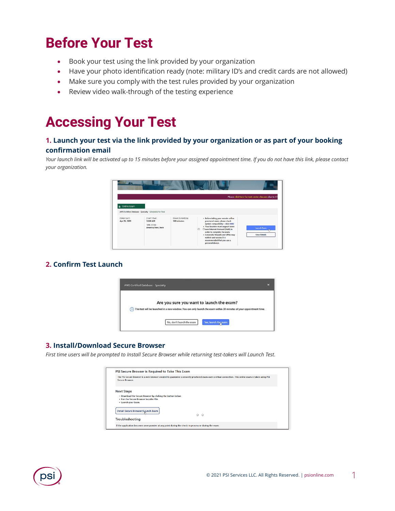# **Before Your Test**

- Book your test using the link provided by your organization
- Have your photo identification ready (note: military ID's and credit cards are not allowed)
- Make sure you comply with the test rules provided by your organization
- Review video walk-through of the testing experience

# **Accessing Your Test**

# **1. Launch your test via the link provided by your organization or as part of your booking confirmation email**

*Your launch link will be activated up to 15 minutes before your assigned appointment time. If you do not have this link, please contact your organization.*



# **2. Confirm Test Launch**



## **3. Install/Download Secure Browser**

*First time users will be prompted to Install Secure Browser while returning test-takers will Launch Test*.

| PSI Secure Browser is Required to Take This Exam                                                                                                                         |  |  |  |  |  |  |
|--------------------------------------------------------------------------------------------------------------------------------------------------------------------------|--|--|--|--|--|--|
| The PSI Secure Browser is a web browser created to quarantee a securely proctored exam over a virtual connection. This online exam is taken using PSI<br>Secure Browser. |  |  |  |  |  |  |
| <b>Next Steps</b>                                                                                                                                                        |  |  |  |  |  |  |
| . Download the Secure Browser by clicking the button below.<br>. Run the Secure Browser Installer File.<br>- Launch your Exam.                                           |  |  |  |  |  |  |
| Install Secure Browser/Launch Exam<br>$\bigcirc$<br>$\circ$                                                                                                              |  |  |  |  |  |  |
| Troubleshooting                                                                                                                                                          |  |  |  |  |  |  |
| If the application becomes unresponsive at any point during the check-in process or during the exam:                                                                     |  |  |  |  |  |  |

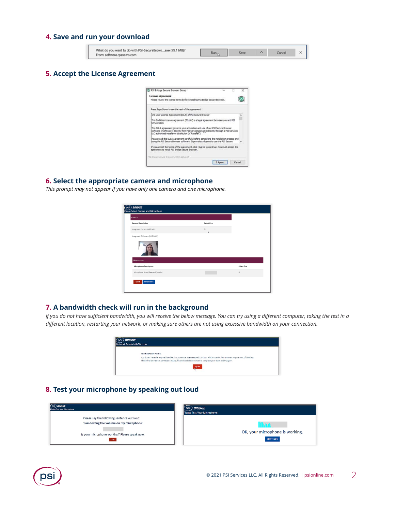## **4. Save and run your download**

| What do you want to do with PSI-SecureBrowsexe (79.1 MB)?<br>From: software.rpexams.com |  | Cance |  |
|-----------------------------------------------------------------------------------------|--|-------|--|
|                                                                                         |  |       |  |

## **5. Accept the License Agreement**



#### **6. Select the appropriate camera and microphone**

*This prompt may not appear if you have only one camera and one microphone.*

| psi) <b>BRIDGE</b><br><b>Please Select Camera and Microphone</b> |            |            |  |  |  |
|------------------------------------------------------------------|------------|------------|--|--|--|
| Cameras                                                          |            |            |  |  |  |
| Camera Description                                               | Select One |            |  |  |  |
| Integrated Camera (04f2:b681)                                    | ۰<br>b     |            |  |  |  |
| Integrated IR Camera (04f2:b681)                                 |            |            |  |  |  |
|                                                                  |            |            |  |  |  |
| <b>Microphones</b>                                               |            |            |  |  |  |
| Microphone Description                                           |            | Select One |  |  |  |
| Microphone Array (Realtek(R) Audio)                              |            | ۰          |  |  |  |
| <b>CONTINUE</b><br>QUIT                                          |            |            |  |  |  |
|                                                                  |            |            |  |  |  |

#### **7. A bandwidth check will run in the background**

*If you do not have sufficient bandwidth, you will receive the below message. You can try using a different computer, taking the test in a different location, restarting your network, or making sure others are not using excessive bandwidth on your connection.*



#### **8. Test your microphone by speaking out loud**



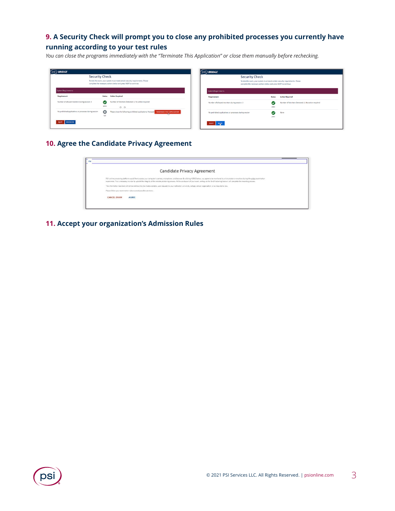# **9. A Security Check will prompt you to close any prohibited processes you currently have running according to your test rules**

*You can close the programs immediately with the "Terminate This Application" or close them manually before rechecking.*

|                                                                                                                                                                                            |                                                                                         | $(\mathsf{psi})$ BRIDGE                                                      |                       |                                                                                                                                                                                                                                                             |
|--------------------------------------------------------------------------------------------------------------------------------------------------------------------------------------------|-----------------------------------------------------------------------------------------|------------------------------------------------------------------------------|-----------------------|-------------------------------------------------------------------------------------------------------------------------------------------------------------------------------------------------------------------------------------------------------------|
| (psi) BRIDGE<br><b>Security Check</b><br>To take the exam, your system must meet certain security requirements. Please<br>complete the necessary actions below and press NEXT to continue. |                                                                                         |                                                                              | <b>Security Check</b> |                                                                                                                                                                                                                                                             |
|                                                                                                                                                                                            |                                                                                         | <b>System Requirements</b>                                                   |                       |                                                                                                                                                                                                                                                             |
| <b>Status</b>                                                                                                                                                                              |                                                                                         | Requirement                                                                  | <b>Status</b>         | <b>Action Required</b>                                                                                                                                                                                                                                      |
| $\bullet$<br>pass.                                                                                                                                                                         | 00                                                                                      |                                                                              | (V<br>0355            | Number of Monitors Detected: 1. No action required                                                                                                                                                                                                          |
| $\circ$<br>fail                                                                                                                                                                            | Please close the following prohibited applications: Notepad TTERMINATE THIS APPLICATION |                                                                              | ω<br>pass             | None                                                                                                                                                                                                                                                        |
|                                                                                                                                                                                            |                                                                                         | QUIT NEXT                                                                    |                       |                                                                                                                                                                                                                                                             |
|                                                                                                                                                                                            |                                                                                         | <b>Action Required</b><br>Number of Monitors Detected: 1. No action required |                       | To take the exam, your system must meet certain security requirements. Please<br>complete the necessary actions below and press NEXT to continue.<br>Number of allowed monitors during session: 3<br>No prohibited applications or processes during session |

## **10. Agree the Candidate Privacy Agreement**

|                    | Candidate Privacy Agreement                                                                                                                                                                                                                                                                                                                                                                                                           |
|--------------------|---------------------------------------------------------------------------------------------------------------------------------------------------------------------------------------------------------------------------------------------------------------------------------------------------------------------------------------------------------------------------------------------------------------------------------------|
|                    | PSI's online proctoring platform would like to access your computer's camera, microphone, and browser. By cloting AGREE below, you agree to be monitored by a live proctor or machine during the antire examination<br>experience. This is necessary in order to uphold the integrity of the remote proctoring process. At the conclusion of your exam, exiting via the 'End Proctoring Session' will complete the recording process. |
|                    | The information recorded will not be sold but may be made available, upon request, to your institution, university, college, school, organization, or as required by law.                                                                                                                                                                                                                                                             |
|                    | Please follow your examination rules to avoid possible sanctions.                                                                                                                                                                                                                                                                                                                                                                     |
| <b>CANCEL EXAM</b> | AGREE                                                                                                                                                                                                                                                                                                                                                                                                                                 |

## **11. Accept your organization's Admission Rules**

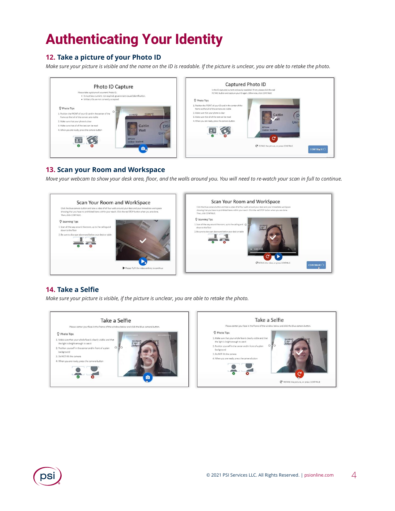# **Authenticating Your Identity**

# **12. Take a picture of your Photo ID**

*Make sure your picture is visible and the name on the ID is readable. If the picture is unclear, you are able to retake the photo.*



## **13. Scan your Room and Workspace**

*Move your webcam to show your desk area, floor, and the walls around you. You will need to re-watch your scan in full to continue.*



## **14. Take a Selfie**

*Make sure your picture is visible, if the picture is unclear, you are able to retake the photo.*